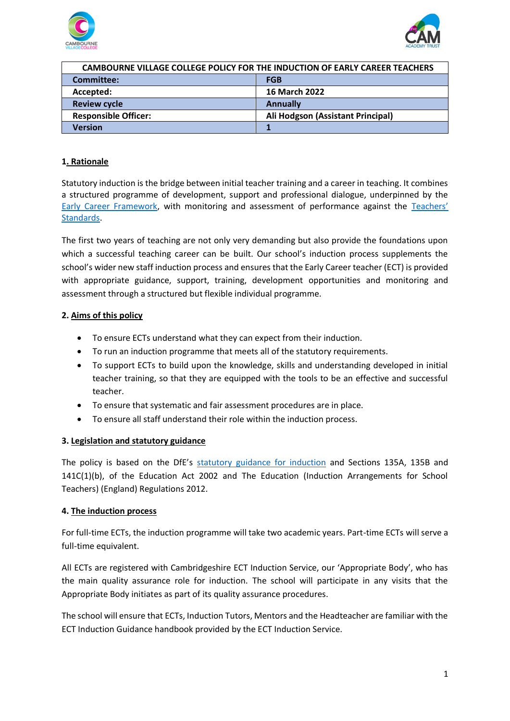



| CAMBOURNE VILLAGE COLLEGE POLICY FOR THE INDUCTION OF EARLY CAREER TEACHERS |                                   |
|-----------------------------------------------------------------------------|-----------------------------------|
| <b>Committee:</b>                                                           | <b>FGB</b>                        |
| Accepted:                                                                   | <b>16 March 2022</b>              |
| <b>Review cycle</b>                                                         | <b>Annually</b>                   |
| <b>Responsible Officer:</b>                                                 | Ali Hodgson (Assistant Principal) |
| Version                                                                     |                                   |

### **1. Rationale**

Statutory induction is the bridge between initial teacher training and a career in teaching. It combines a structured programme of development, support and professional dialogue, underpinned by the [Early Career Framework,](https://assets.publishing.service.gov.uk/government/uploads/system/uploads/attachment_data/file/978358/Early-Career_Framework_April_2021.pdf) with monitoring and assessment of performance against the [Teachers'](https://assets.publishing.service.gov.uk/government/uploads/system/uploads/attachment_data/file/665522/Teachers_standard_information.pdf)  [Standards.](https://assets.publishing.service.gov.uk/government/uploads/system/uploads/attachment_data/file/665522/Teachers_standard_information.pdf)

The first two years of teaching are not only very demanding but also provide the foundations upon which a successful teaching career can be built. Our school's induction process supplements the school's wider new staff induction process and ensures that the Early Career teacher (ECT) is provided with appropriate guidance, support, training, development opportunities and monitoring and assessment through a structured but flexible individual programme.

### **2. Aims of this policy**

- To ensure ECTs understand what they can expect from their induction.
- To run an induction programme that meets all of the statutory requirements.
- To support ECTs to build upon the knowledge, skills and understanding developed in initial teacher training, so that they are equipped with the tools to be an effective and successful teacher.
- To ensure that systematic and fair assessment procedures are in place.
- To ensure all staff understand their role within the induction process.

### **3. Legislation and statutory guidance**

The policy is based on the DfE's [statutory guidance for induction](https://assets.publishing.service.gov.uk/government/uploads/system/uploads/attachment_data/file/972316/Statutory_Induction_Guidance_2021_final__002_____1___1_.pdf) and Sections 135A, 135B and 141C(1)(b), of the Education Act 2002 and The Education (Induction Arrangements for School Teachers) (England) Regulations 2012.

### **4. The induction process**

For full-time ECTs, the induction programme will take two academic years. Part-time ECTs will serve a full-time equivalent.

All ECTs are registered with Cambridgeshire ECT Induction Service, our 'Appropriate Body', who has the main quality assurance role for induction. The school will participate in any visits that the Appropriate Body initiates as part of its quality assurance procedures.

The school will ensure that ECTs, Induction Tutors, Mentors and the Headteacher are familiar with the ECT Induction Guidance handbook provided by the ECT Induction Service.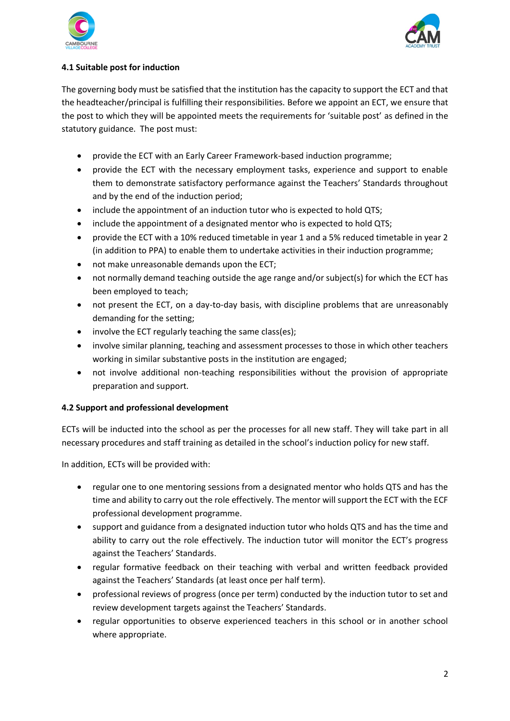



# **4.1 Suitable post for induction**

The governing body must be satisfied that the institution has the capacity to support the ECT and that the headteacher/principal is fulfilling their responsibilities. Before we appoint an ECT, we ensure that the post to which they will be appointed meets the requirements for 'suitable post' as defined in the statutory guidance. The post must:

- provide the ECT with an Early Career Framework-based induction programme;
- provide the ECT with the necessary employment tasks, experience and support to enable them to demonstrate satisfactory performance against the Teachers' Standards throughout and by the end of the induction period;
- include the appointment of an induction tutor who is expected to hold QTS;
- include the appointment of a designated mentor who is expected to hold QTS;
- provide the ECT with a 10% reduced timetable in year 1 and a 5% reduced timetable in year 2 (in addition to PPA) to enable them to undertake activities in their induction programme;
- not make unreasonable demands upon the ECT;
- not normally demand teaching outside the age range and/or subject(s) for which the ECT has been employed to teach;
- not present the ECT, on a day-to-day basis, with discipline problems that are unreasonably demanding for the setting;
- involve the ECT regularly teaching the same class(es);
- involve similar planning, teaching and assessment processes to those in which other teachers working in similar substantive posts in the institution are engaged;
- not involve additional non-teaching responsibilities without the provision of appropriate preparation and support.

### **4.2 Support and professional development**

ECTs will be inducted into the school as per the processes for all new staff. They will take part in all necessary procedures and staff training as detailed in the school's induction policy for new staff.

In addition, ECTs will be provided with:

- regular one to one mentoring sessions from a designated mentor who holds QTS and has the time and ability to carry out the role effectively. The mentor will support the ECT with the ECF professional development programme.
- support and guidance from a designated induction tutor who holds QTS and has the time and ability to carry out the role effectively. The induction tutor will monitor the ECT's progress against the Teachers' Standards.
- regular formative feedback on their teaching with verbal and written feedback provided against the Teachers' Standards (at least once per half term).
- professional reviews of progress (once per term) conducted by the induction tutor to set and review development targets against the Teachers' Standards.
- regular opportunities to observe experienced teachers in this school or in another school where appropriate.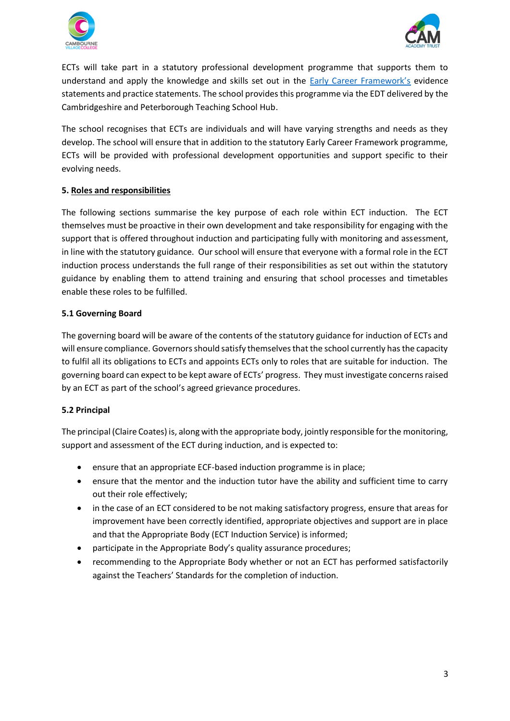



ECTs will take part in a statutory professional development programme that supports them to understand and apply the knowledge and skills set out in the [Early Career Framework's](https://assets.publishing.service.gov.uk/government/uploads/system/uploads/attachment_data/file/978358/Early-Career_Framework_April_2021.pdf) evidence statements and practice statements. The school provides this programme via the EDT delivered by the Cambridgeshire and Peterborough Teaching School Hub.

The school recognises that ECTs are individuals and will have varying strengths and needs as they develop. The school will ensure that in addition to the statutory Early Career Framework programme, ECTs will be provided with professional development opportunities and support specific to their evolving needs.

### **5. Roles and responsibilities**

The following sections summarise the key purpose of each role within ECT induction. The ECT themselves must be proactive in their own development and take responsibility for engaging with the support that is offered throughout induction and participating fully with monitoring and assessment, in line with the statutory guidance. Our school will ensure that everyone with a formal role in the ECT induction process understands the full range of their responsibilities as set out within the statutory guidance by enabling them to attend training and ensuring that school processes and timetables enable these roles to be fulfilled.

# **5.1 Governing Board**

The governing board will be aware of the contents of the statutory guidance for induction of ECTs and will ensure compliance. Governors should satisfy themselves that the school currently has the capacity to fulfil all its obligations to ECTs and appoints ECTs only to roles that are suitable for induction. The governing board can expect to be kept aware of ECTs' progress. They must investigate concerns raised by an ECT as part of the school's agreed grievance procedures.

### **5.2 Principal**

The principal (Claire Coates) is, along with the appropriate body, jointly responsible for the monitoring, support and assessment of the ECT during induction, and is expected to:

- ensure that an appropriate ECF-based induction programme is in place;
- ensure that the mentor and the induction tutor have the ability and sufficient time to carry out their role effectively;
- in the case of an ECT considered to be not making satisfactory progress, ensure that areas for improvement have been correctly identified, appropriate objectives and support are in place and that the Appropriate Body (ECT Induction Service) is informed;
- participate in the Appropriate Body's quality assurance procedures;
- recommending to the Appropriate Body whether or not an ECT has performed satisfactorily against the Teachers' Standards for the completion of induction.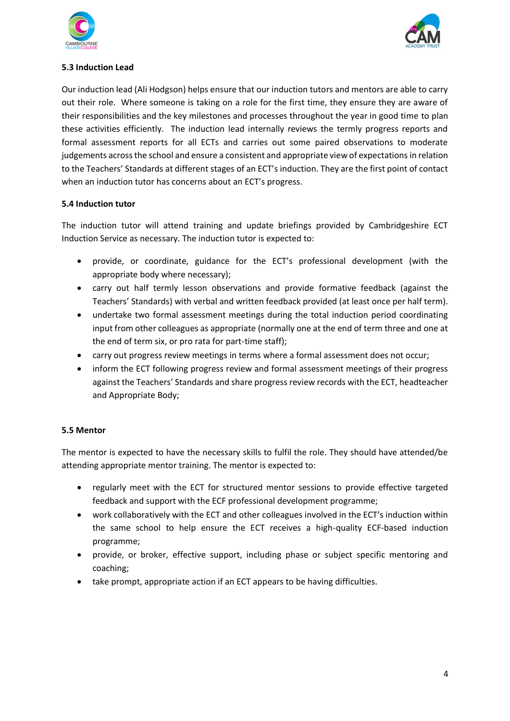



### **5.3 Induction Lead**

Our induction lead (Ali Hodgson) helps ensure that our induction tutors and mentors are able to carry out their role. Where someone is taking on a role for the first time, they ensure they are aware of their responsibilities and the key milestones and processes throughout the year in good time to plan these activities efficiently. The induction lead internally reviews the termly progress reports and formal assessment reports for all ECTs and carries out some paired observations to moderate judgements across the school and ensure a consistent and appropriate view of expectations in relation to the Teachers' Standards at different stages of an ECT's induction. They are the first point of contact when an induction tutor has concerns about an ECT's progress.

### **5.4 Induction tutor**

The induction tutor will attend training and update briefings provided by Cambridgeshire ECT Induction Service as necessary. The induction tutor is expected to:

- provide, or coordinate, guidance for the ECT's professional development (with the appropriate body where necessary);
- carry out half termly lesson observations and provide formative feedback (against the Teachers' Standards) with verbal and written feedback provided (at least once per half term).
- undertake two formal assessment meetings during the total induction period coordinating input from other colleagues as appropriate (normally one at the end of term three and one at the end of term six, or pro rata for part-time staff);
- carry out progress review meetings in terms where a formal assessment does not occur;
- inform the ECT following progress review and formal assessment meetings of their progress against the Teachers' Standards and share progress review records with the ECT, headteacher and Appropriate Body;

### **5.5 Mentor**

The mentor is expected to have the necessary skills to fulfil the role. They should have attended/be attending appropriate mentor training. The mentor is expected to:

- regularly meet with the ECT for structured mentor sessions to provide effective targeted feedback and support with the ECF professional development programme;
- work collaboratively with the ECT and other colleagues involved in the ECT's induction within the same school to help ensure the ECT receives a high-quality ECF-based induction programme;
- provide, or broker, effective support, including phase or subject specific mentoring and coaching;
- take prompt, appropriate action if an ECT appears to be having difficulties.